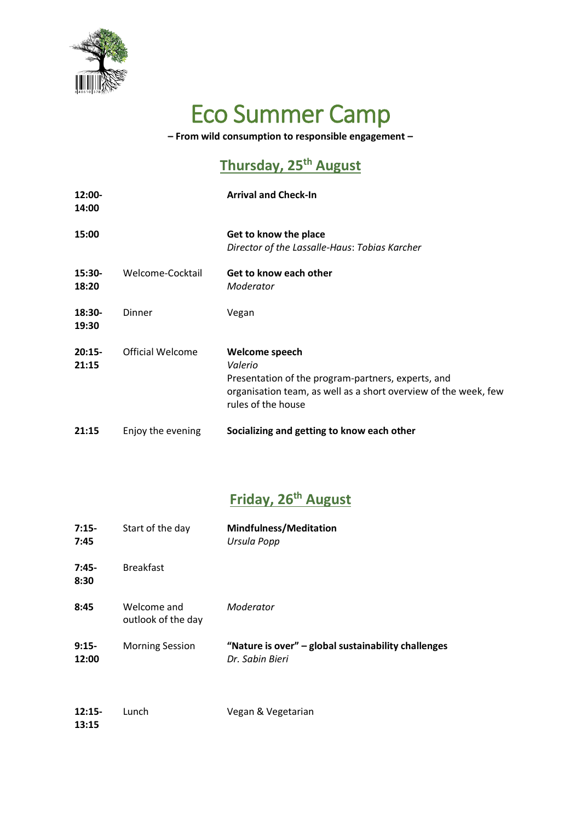

# Eco Summer Camp

**– From wild consumption to responsible engagement –**

#### **Thursday, 25 th August**

| $12:00-$<br>14:00 |                   | <b>Arrival and Check-In</b>                                                                                                                                              |
|-------------------|-------------------|--------------------------------------------------------------------------------------------------------------------------------------------------------------------------|
| 15:00             |                   | Get to know the place<br>Director of the Lassalle-Haus: Tobias Karcher                                                                                                   |
| 15:30-<br>18:20   | Welcome-Cocktail  | Get to know each other<br>Moderator                                                                                                                                      |
| 18:30-<br>19:30   | Dinner            | Vegan                                                                                                                                                                    |
| $20:15-$<br>21:15 | Official Welcome  | Welcome speech<br>Valerio<br>Presentation of the program-partners, experts, and<br>organisation team, as well as a short overview of the week, few<br>rules of the house |
| 21:15             | Enjoy the evening | Socializing and getting to know each other                                                                                                                               |

#### **Friday, 26 th August**

| $7:15-$<br>7:45   | Start of the day                  | <b>Mindfulness/Meditation</b><br>Ursula Popp                           |
|-------------------|-----------------------------------|------------------------------------------------------------------------|
| $7:45-$<br>8:30   | <b>Breakfast</b>                  |                                                                        |
| 8:45              | Welcome and<br>outlook of the day | Moderator                                                              |
| $9:15-$<br>12:00  | <b>Morning Session</b>            | "Nature is over" - global sustainability challenges<br>Dr. Sabin Bieri |
| $12:15-$<br>13:15 | Lunch                             | Vegan & Vegetarian                                                     |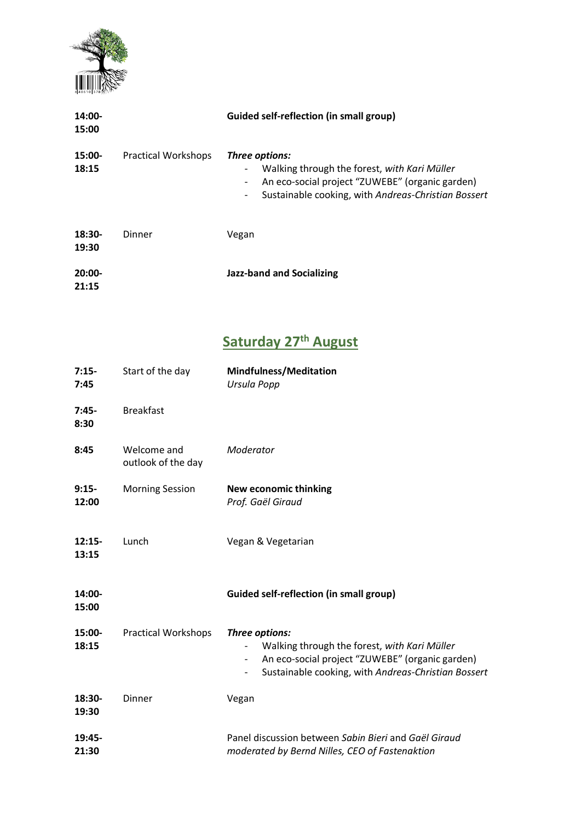

| 14:00-<br>15:00   |                            | <b>Guided self-reflection (in small group)</b>                                                                                                                                                                                   |
|-------------------|----------------------------|----------------------------------------------------------------------------------------------------------------------------------------------------------------------------------------------------------------------------------|
| 15:00-<br>18:15   | <b>Practical Workshops</b> | Three options:<br>Walking through the forest, with Kari Müller<br>An eco-social project "ZUWEBE" (organic garden)<br>$\overline{\phantom{a}}$<br>Sustainable cooking, with Andreas-Christian Bossert<br>$\overline{\phantom{a}}$ |
| 18:30-<br>19:30   | Dinner                     | Vegan                                                                                                                                                                                                                            |
| $20:00-$<br>21:15 |                            | <b>Jazz-band and Socializing</b>                                                                                                                                                                                                 |

# **Saturday 27th August**

| $7:15-$<br>7:45   | Start of the day                  | <b>Mindfulness/Meditation</b><br>Ursula Popp                                                                                                                                                                                  |
|-------------------|-----------------------------------|-------------------------------------------------------------------------------------------------------------------------------------------------------------------------------------------------------------------------------|
| $7:45-$<br>8:30   | <b>Breakfast</b>                  |                                                                                                                                                                                                                               |
| 8:45              | Welcome and<br>outlook of the day | Moderator                                                                                                                                                                                                                     |
| $9:15-$<br>12:00  | <b>Morning Session</b>            | <b>New economic thinking</b><br>Prof. Gaël Giraud                                                                                                                                                                             |
| $12:15-$<br>13:15 | Lunch                             | Vegan & Vegetarian                                                                                                                                                                                                            |
| 14:00-<br>15:00   |                                   | <b>Guided self-reflection (in small group)</b>                                                                                                                                                                                |
| 15:00-<br>18:15   | <b>Practical Workshops</b>        | Three options:<br>Walking through the forest, with Kari Müller<br>An eco-social project "ZUWEBE" (organic garden)<br>$\qquad \qquad \blacksquare$<br>Sustainable cooking, with Andreas-Christian Bossert<br>$\qquad \qquad -$ |
| $18:30-$<br>19:30 | Dinner                            | Vegan                                                                                                                                                                                                                         |
| 19:45-<br>21:30   |                                   | Panel discussion between Sabin Bieri and Gaël Giraud<br>moderated by Bernd Nilles, CEO of Fastenaktion                                                                                                                        |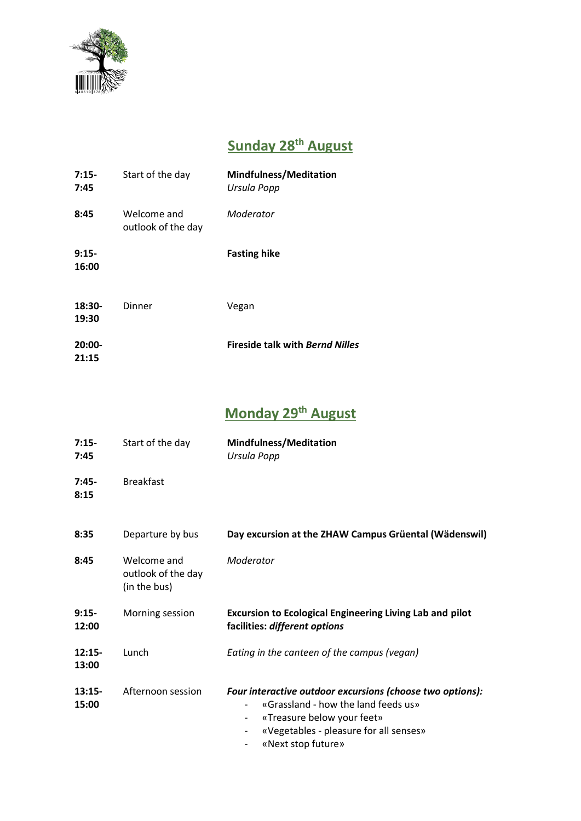

#### **Sunday 28 th August**

| $7:15-$<br>7:45   | Start of the day                  | <b>Mindfulness/Meditation</b><br>Ursula Popp |
|-------------------|-----------------------------------|----------------------------------------------|
| 8:45              | Welcome and<br>outlook of the day | Moderator                                    |
| $9:15-$<br>16:00  |                                   | <b>Fasting hike</b>                          |
| $18:30-$<br>19:30 | Dinner                            | Vegan                                        |
| $20:00-$<br>21:15 |                                   | <b>Fireside talk with Bernd Nilles</b>       |

#### **Monday 29 th August**

| $7:15-$<br>7:45   | Start of the day                                  | <b>Mindfulness/Meditation</b><br>Ursula Popp                                                                                                                                                   |
|-------------------|---------------------------------------------------|------------------------------------------------------------------------------------------------------------------------------------------------------------------------------------------------|
| $7:45-$<br>8:15   | <b>Breakfast</b>                                  |                                                                                                                                                                                                |
| 8:35              | Departure by bus                                  | Day excursion at the ZHAW Campus Grüental (Wädenswil)                                                                                                                                          |
| 8:45              | Welcome and<br>outlook of the day<br>(in the bus) | Moderator                                                                                                                                                                                      |
| $9:15-$<br>12:00  | Morning session                                   | <b>Excursion to Ecological Engineering Living Lab and pilot</b><br>facilities: different options                                                                                               |
| $12:15-$<br>13:00 | Lunch                                             | Eating in the canteen of the campus (vegan)                                                                                                                                                    |
| $13:15-$<br>15:00 | Afternoon session                                 | Four interactive outdoor excursions (choose two options):<br>«Grassland - how the land feeds us»<br>«Treasure below your feet»<br>«Vegetables - pleasure for all senses»<br>«Next stop future» |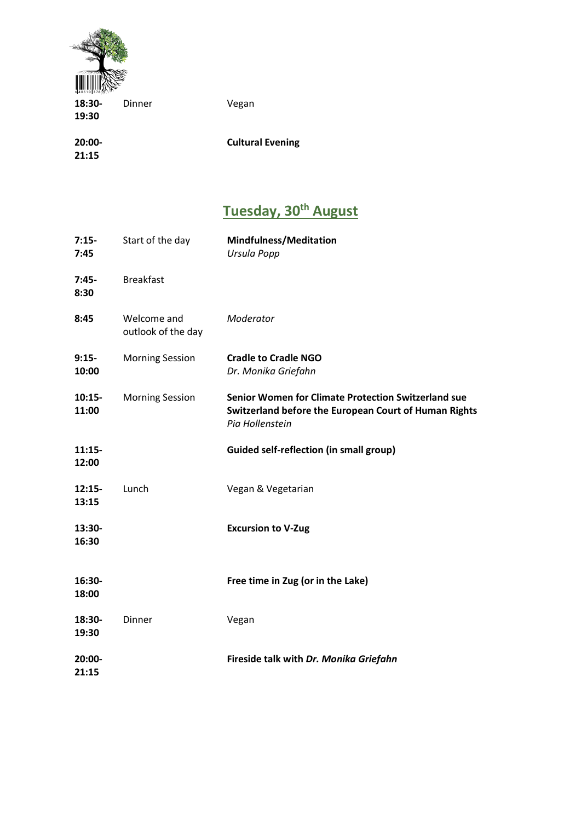

| Dinner | Vegan                   |
|--------|-------------------------|
|        |                         |
|        |                         |
|        | <b>Cultural Evening</b> |
|        |                         |
|        |                         |

## **Tuesday, 30th August**

| $7:15-$<br>7:45   | Start of the day                  | <b>Mindfulness/Meditation</b><br>Ursula Popp                                                                                           |
|-------------------|-----------------------------------|----------------------------------------------------------------------------------------------------------------------------------------|
| $7:45-$<br>8:30   | <b>Breakfast</b>                  |                                                                                                                                        |
| 8:45              | Welcome and<br>outlook of the day | Moderator                                                                                                                              |
| $9:15-$<br>10:00  | <b>Morning Session</b>            | <b>Cradle to Cradle NGO</b><br>Dr. Monika Griefahn                                                                                     |
| $10:15-$<br>11:00 | <b>Morning Session</b>            | <b>Senior Women for Climate Protection Switzerland sue</b><br>Switzerland before the European Court of Human Rights<br>Pia Hollenstein |
| $11:15-$<br>12:00 |                                   | <b>Guided self-reflection (in small group)</b>                                                                                         |
| $12:15-$<br>13:15 | Lunch                             | Vegan & Vegetarian                                                                                                                     |
| 13:30-<br>16:30   |                                   | <b>Excursion to V-Zug</b>                                                                                                              |
| 16:30-<br>18:00   |                                   | Free time in Zug (or in the Lake)                                                                                                      |
| $18:30-$<br>19:30 | Dinner                            | Vegan                                                                                                                                  |
| 20:00-<br>21:15   |                                   | Fireside talk with Dr. Monika Griefahn                                                                                                 |